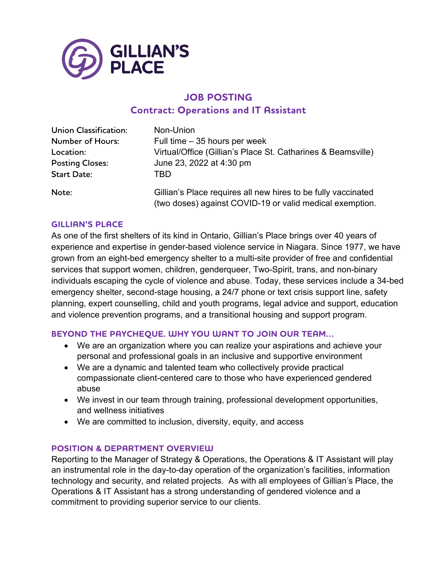

# **JOB POSTING Contract: Operations and IT Assistant**

| <b>Union Classification:</b> | Non-Union                                                                                                                 |
|------------------------------|---------------------------------------------------------------------------------------------------------------------------|
| <b>Number of Hours:</b>      | Full time $-35$ hours per week                                                                                            |
| Location:                    | Virtual/Office (Gillian's Place St. Catharines & Beamsville)                                                              |
| <b>Posting Closes:</b>       | June 23, 2022 at 4:30 pm                                                                                                  |
| <b>Start Date:</b>           | TBD                                                                                                                       |
| Note:                        | Gillian's Place requires all new hires to be fully vaccinated<br>(two doses) against COVID-19 or valid medical exemption. |

#### **GILLIAN'S PLACE**

As one of the first shelters of its kind in Ontario, Gillian's Place brings over 40 years of experience and expertise in gender-based violence service in Niagara. Since 1977, we have grown from an eight-bed emergency shelter to a multi-site provider of free and confidential services that support women, children, genderqueer, Two-Spirit, trans, and non-binary individuals escaping the cycle of violence and abuse. Today, these services include a 34-bed emergency shelter, second-stage housing, a 24/7 phone or text crisis support line, safety planning, expert counselling, child and youth programs, legal advice and support, education and violence prevention programs, and a transitional housing and support program.

#### **BEYOND THE PAYCHEQUE. WHY YOU WANT TO JOIN OUR TEAM…**

- We are an organization where you can realize your aspirations and achieve your personal and professional goals in an inclusive and supportive environment
- We are a dynamic and talented team who collectively provide practical compassionate client-centered care to those who have experienced gendered abuse
- We invest in our team through training, professional development opportunities, and wellness initiatives
- We are committed to inclusion, diversity, equity, and access

#### **POSITION & DEPARTMENT OVERVIEW**

Reporting to the Manager of Strategy & Operations, the Operations & IT Assistant will play an instrumental role in the day-to-day operation of the organization's facilities, information technology and security, and related projects. As with all employees of Gillian's Place, the Operations & IT Assistant has a strong understanding of gendered violence and a commitment to providing superior service to our clients.